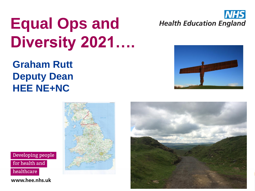**Equal Ops and Diversity 2021….**

**Graham Rutt Deputy Dean HEE NE+NC**

Developing people for health and healthcare

www.hee.nhs.uk







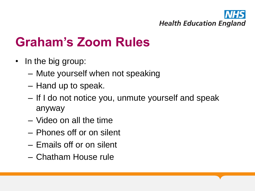

# **Graham's Zoom Rules**

- In the big group:
	- Mute yourself when not speaking
	- Hand up to speak.
	- If I do not notice you, unmute yourself and speak anyway
	- Video on all the time
	- Phones off or on silent
	- Emails off or on silent
	- Chatham House rule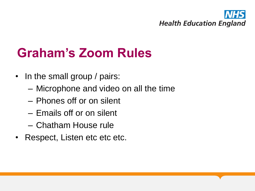

# **Graham's Zoom Rules**

- In the small group / pairs:
	- Microphone and video on all the time
	- Phones off or on silent
	- Emails off or on silent
	- Chatham House rule
- Respect, Listen etc etc etc.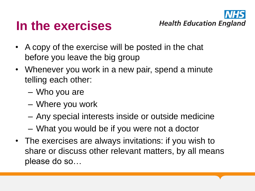

# **In the exercises**

- A copy of the exercise will be posted in the chat before you leave the big group
- Whenever you work in a new pair, spend a minute telling each other:
	- Who you are
	- Where you work
	- Any special interests inside or outside medicine
	- What you would be if you were not a doctor
- The exercises are always invitations: if you wish to share or discuss other relevant matters, by all means please do so…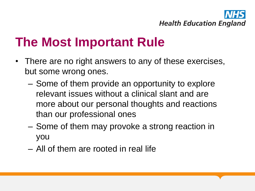

### **The Most Important Rule**

- There are no right answers to any of these exercises, but some wrong ones.
	- Some of them provide an opportunity to explore relevant issues without a clinical slant and are more about our personal thoughts and reactions than our professional ones
	- Some of them may provoke a strong reaction in you
	- All of them are rooted in real life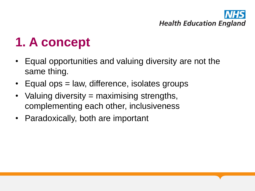# **Health Education England**

# **1. A concept**

- Equal opportunities and valuing diversity are not the same thing.
- Equal ops = law, difference, isolates groups
- Valuing diversity = maximising strengths, complementing each other, inclusiveness
- Paradoxically, both are important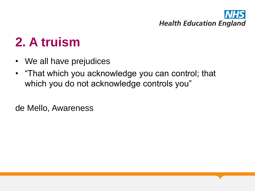

## **2. A truism**

- We all have prejudices
- "That which you acknowledge you can control; that which you do not acknowledge controls you"

de Mello, Awareness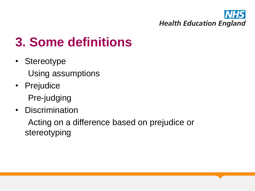

# **3. Some definitions**

- Stereotype Using assumptions
- Prejudice

Pre-judging

• Discrimination

Acting on a difference based on prejudice or stereotyping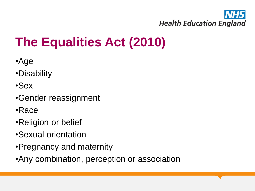

# **The Equalities Act (2010)**

- •Age
- •Disability
- •Sex
- •Gender reassignment
- •Race
- •Religion or belief
- •Sexual orientation
- •Pregnancy and maternity
- •Any combination, perception or association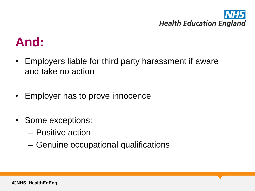

#### **And:**

- Employers liable for third party harassment if aware and take no action
- Employer has to prove innocence
- Some exceptions:
	- Positive action
	- Genuine occupational qualifications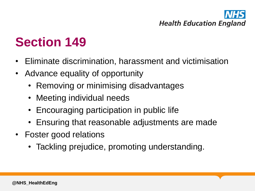# **Health Education England**

# **Section 149**

- Eliminate discrimination, harassment and victimisation
- Advance equality of opportunity
	- Removing or minimising disadvantages
	- Meeting individual needs
	- Encouraging participation in public life
	- Ensuring that reasonable adjustments are made
- Foster good relations
	- Tackling prejudice, promoting understanding.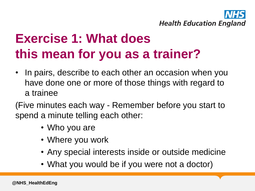

# **Exercise 1: What does this mean for you as a trainer?**

• In pairs, describe to each other an occasion when you have done one or more of those things with regard to a trainee

(Five minutes each way - Remember before you start to spend a minute telling each other:

- Who you are
- Where you work
- Any special interests inside or outside medicine
- What you would be if you were not a doctor)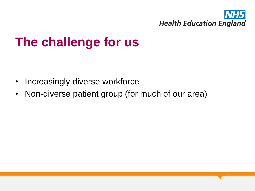

## **The challenge for us**

- Increasingly diverse workforce
- Non-diverse patient group (for much of our area)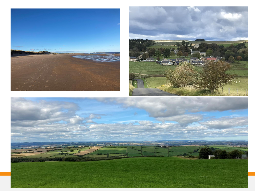



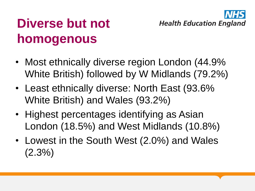

# **Diverse but not homogenous**

- Most ethnically diverse region London (44.9% White British) followed by W Midlands (79.2%)
- Least ethnically diverse: North East (93.6% White British) and Wales (93.2%)
- Highest percentages identifying as Asian London (18.5%) and West Midlands (10.8%)
- Lowest in the South West (2.0%) and Wales (2.3%)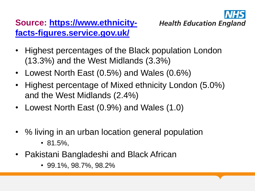**Source: https://www.ethnicity[facts-figures.service.gov.uk/](https://www.ethnicity-facts-figures.service.gov.uk/)**



- Highest percentages of the Black population London (13.3%) and the West Midlands (3.3%)
- Lowest North East (0.5%) and Wales (0.6%)
- Highest percentage of Mixed ethnicity London (5.0%) and the West Midlands (2.4%)
- Lowest North East (0.9%) and Wales (1.0)
- % living in an urban location general population
	- $\cdot$  81.5%,
- Pakistani Bangladeshi and Black African
	- 99.1%, 98.7%, 98.2%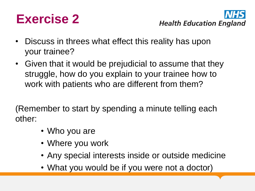#### **Exercise 2**



- Discuss in threes what effect this reality has upon your trainee?
- Given that it would be prejudicial to assume that they struggle, how do you explain to your trainee how to work with patients who are different from them?

(Remember to start by spending a minute telling each other:

- Who you are
- Where you work
- Any special interests inside or outside medicine
- What you would be if you were not a doctor)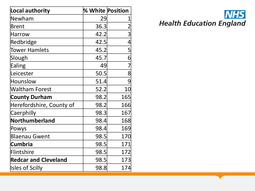| <b>Local authority</b>      | % White Position |     |
|-----------------------------|------------------|-----|
| Newham                      | 29               |     |
| <b>Brent</b>                | 36.3             |     |
| <b>Harrow</b>               | 42.2             | 3   |
| Redbridge                   | 42.5             | 4   |
| <b>Tower Hamlets</b>        | 45.2             | 5   |
| Slough                      | 45.7             | 6   |
| Ealing                      | 49               |     |
| Leicester                   | 50.5             | 8   |
| <b>Hounslow</b>             | 51.4             | 9   |
| <b>Waltham Forest</b>       | 52.2             | 10  |
| <b>County Durham</b>        | 98.2             | 165 |
| Herefordshire, County of    | 98.2             | 166 |
| Caerphilly                  | 98.3             | 167 |
| Northumberland              | 98.4             | 168 |
| Powys                       | 98.4             | 169 |
| <b>Blaenau Gwent</b>        | 98.5             | 170 |
| <b>Cumbria</b>              | 98.5             | 171 |
| Flintshire                  | 98.5             | 172 |
| <b>Redcar and Cleveland</b> | 98.5             | 173 |
| <b>Isles of Scilly</b>      | 98.8             | 174 |

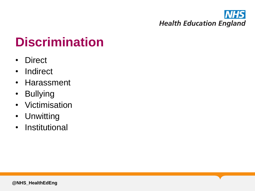

# **Discrimination**

- Direct
- Indirect
- Harassment
- Bullying
- Victimisation
- Unwitting
- Institutional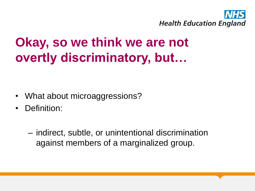

## **Okay, so we think we are not overtly discriminatory, but…**

- What about microaggressions?
- Definition:
	- indirect, subtle, or unintentional discrimination against members of a marginalized group.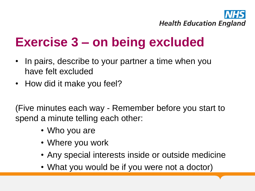

## **Exercise 3 – on being excluded**

- In pairs, describe to your partner a time when you have felt excluded
- How did it make you feel?

(Five minutes each way - Remember before you start to spend a minute telling each other:

- Who you are
- Where you work
- Any special interests inside or outside medicine
- What you would be if you were not a doctor)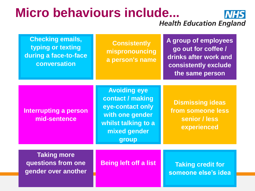# **Micro behaviours include...**<br>Health Education England



| <b>Checking emails,</b><br>typing or texting<br>during a face-to-face<br>conversation | <b>Consistently</b><br>mispronouncing<br>a person's name                                                                       | A group of employees<br>go out for coffee /<br>drinks after work and<br>consistently exclude<br>the same person |  |  |
|---------------------------------------------------------------------------------------|--------------------------------------------------------------------------------------------------------------------------------|-----------------------------------------------------------------------------------------------------------------|--|--|
|                                                                                       |                                                                                                                                |                                                                                                                 |  |  |
| <b>Interrupting a person</b><br>mid-sentence                                          | <b>Avoiding eye</b><br>contact / making<br>eye-contact only<br>with one gender<br>whilst talking to a<br>mixed gender<br>group | <b>Dismissing ideas</b><br>from someone less<br>senior / less<br>experienced                                    |  |  |
|                                                                                       |                                                                                                                                |                                                                                                                 |  |  |
| <b>Taking more</b><br>questions from one<br>gender over another                       | <b>Being left off a list</b>                                                                                                   | <b>Taking credit for</b><br>someone else's idea                                                                 |  |  |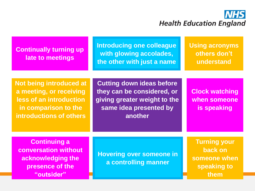# **NHS**<br>Health Education England

| <b>Continually turning up</b><br>late to meetings                                                                                | <b>Introducing one colleague</b><br>with glowing accolades,<br>the other with just a name                                           | <b>Using acronyms</b><br>others don't<br>understand                   |
|----------------------------------------------------------------------------------------------------------------------------------|-------------------------------------------------------------------------------------------------------------------------------------|-----------------------------------------------------------------------|
| Not being introduced at<br>a meeting, or receiving<br>less of an introduction<br>in comparison to the<br>introductions of others | <b>Cutting down ideas before</b><br>they can be considered, or<br>giving greater weight to the<br>same idea presented by<br>another | <b>Clock watching</b><br>when someone<br>is speaking                  |
|                                                                                                                                  |                                                                                                                                     |                                                                       |
| <b>Continuing a</b><br><b>conversation without</b><br>acknowledging the<br>presence of the<br>"outsider"                         | <b>Hovering over someone in</b><br>a controlling manner                                                                             | <b>Turning your</b><br>back on<br>someone when<br>speaking to<br>them |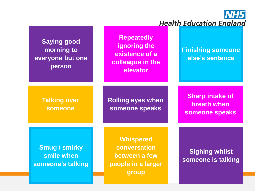|                                                                |                                                                                     | <b>Health Education England</b>                         |
|----------------------------------------------------------------|-------------------------------------------------------------------------------------|---------------------------------------------------------|
| <b>Saying good</b><br>morning to<br>everyone but one<br>person | <b>Repeatedly</b><br>ignoring the<br>existence of a<br>colleague in the<br>elevator | <b>Finishing someone</b><br>else's sentence             |
| <b>Talking over</b><br>someone                                 | <b>Rolling eyes when</b><br>someone speaks                                          | <b>Sharp intake of</b><br>breath when<br>someone speaks |
| <b>Smug / smirky</b><br>smile when<br>someone's talking        | <b>Whispered</b><br>conversation<br>between a few<br>people in a larger             | <b>Sighing whilst</b><br>someone is talking             |

**group**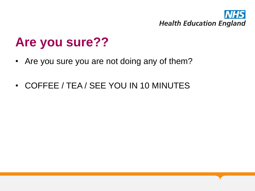

#### **Are you sure??**

- Are you sure you are not doing any of them?
- COFFEE / TEA / SEE YOU IN 10 MINUTES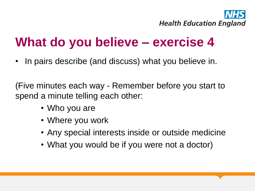

### **What do you believe – exercise 4**

• In pairs describe (and discuss) what you believe in.

(Five minutes each way - Remember before you start to spend a minute telling each other:

- Who you are
- Where you work
- Any special interests inside or outside medicine
- What you would be if you were not a doctor)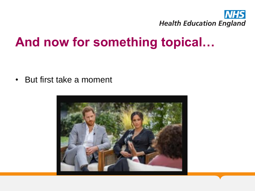

## **And now for something topical…**

• But first take a moment

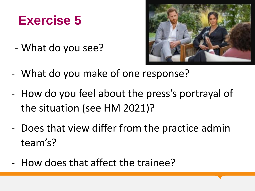## **Exercise 5**

- What do you see?



- What do you make of one response?
- How do you feel about the press's portrayal of the situation (see HM 2021)?
- Does that view differ from the practice admin team's?
- How does that affect the trainee?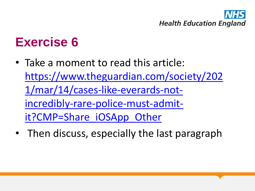

## **Exercise 6**

- Take a moment to read this article: [https://www.theguardian.com/society/202](https://protect-eu.mimecast.com/s/sUwLC7p28TWM6PxhW_DzK?domain=theguardian.com) 1/mar/14/cases-like-everards-notincredibly-rare-police-must-admitit?CMP=Share iOSApp Other
- Then discuss, especially the last paragraph